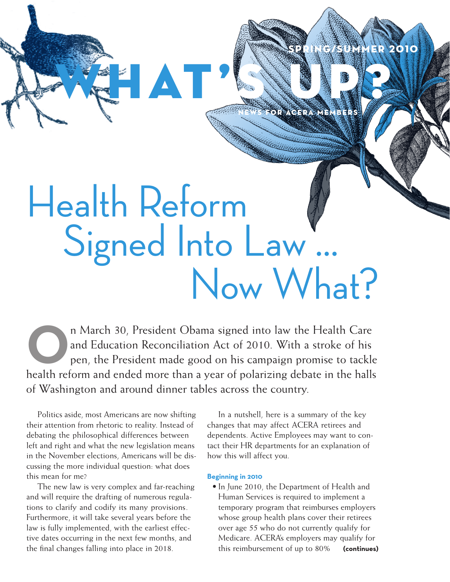# Health Reform Signed Into Law... Now What?

**AT** 

**O**n March 30, President Obama signed into law the Health Care and Education Reconciliation Act of 2010. With a stroke of his pen, the President made good on his campaign promise to tackle health reform and ended more than a year of polarizing debate in the halls of Washington and around dinner tables across the country.

Politics aside, most Americans are now shifting their attention from rhetoric to reality. Instead of debating the philosophical differences between left and right and what the new legislation means in the November elections, Americans will be discussing the more individual question: what does this mean for me?

The new law is very complex and far-reaching and will require the drafting of numerous regulations to clarify and codify its many provisions. Furthermore, it will take several years before the law is fully implemented, with the earliest effective dates occurring in the next few months, and the final changes falling into place in 2018.

In a nutshell, here is a summary of the key changes that may affect ACERA retirees and dependents. Active Employees may want to contact their HR departments for an explanation of how this will affect you.

 $\mathbf{E}$   $\mathbf{E}$ 

N E WS F O R AC E R A M E M B E R S

S UP?

### **Beginning in 2010**

• In June 2010, the Department of Health and Human Services is required to implement a temporary program that reimburses employers whose group health plans cover their retirees over age 55 who do not currently qualify for Medicare. ACERA's employers may qualify for this reimbursement of up to 80% **(continues)**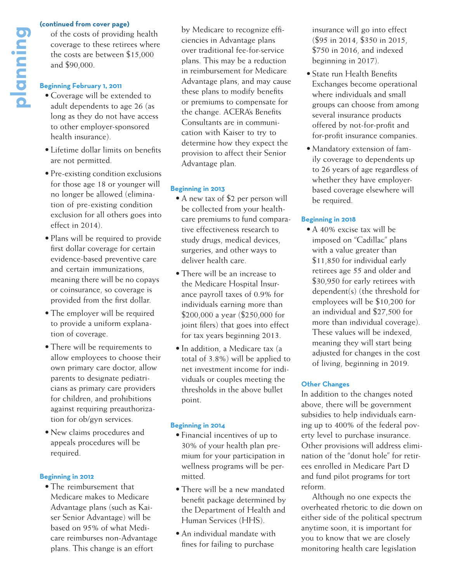of the costs of providing health coverage to these retirees where the costs are between \$15,000 and \$90,000. **planning from cover page)**<br>
of the costs of providing<br>
coverage to these retire<br>
the costs are between \$<br>
and \$90,000.<br> **Beginning February 1, 2011**<br>
• Coverage will be extended adult denendents to age

### **Beginning February 1, 2011**

- Coverage will be extended to adult dependents to age 26 (as long as they do not have access to other employer-sponsored health insurance).
- • Lifetime dollar limits on benefits are not permitted.
- Pre-existing condition exclusions for those age 18 or younger will no longer be allowed (elimination of pre-existing condition exclusion for all others goes into effect in 2014).
- Plans will be required to provide first dollar coverage for certain evidence-based preventive care and certain immunizations, meaning there will be no copays or coinsurance, so coverage is provided from the first dollar.
- The employer will be required to provide a uniform explanation of coverage.
- There will be requirements to allow employees to choose their own primary care doctor, allow parents to designate pediatricians as primary care providers for children, and prohibitions against requiring preauthorization for ob/gyn services.
- • New claims procedures and appeals procedures will be required.

### **Beginning in 2012**

• The reimbursement that Medicare makes to Medicare Advantage plans (such as Kaiser Senior Advantage) will be based on 95% of what Medicare reimburses non-Advantage plans. This change is an effort

by Medicare to recognize efficiencies in Advantage plans over traditional fee-for-service plans. This may be a reduction in reimbursement for Medicare Advantage plans, and may cause these plans to modify benefits or premiums to compensate for the change. ACERA's Benefits Consultants are in communication with Kaiser to try to determine how they expect the provision to affect their Senior Advantage plan.

### **Beginning in 2013**

- A new tax of \$2 per person will be collected from your healthcare premiums to fund comparative effectiveness research to study drugs, medical devices, surgeries, and other ways to deliver health care.
- There will be an increase to the Medicare Hospital Insurance payroll taxes of 0.9% for individuals earning more than \$200,000 a year (\$250,000 for joint filers) that goes into effect for tax years beginning 2013.
- In addition, a Medicare tax (a total of 3.8%) will be applied to net investment income for individuals or couples meeting the thresholds in the above bullet point.

### **Beginning in 2014**

- Financial incentives of up to 30% of your health plan premium for your participation in wellness programs will be permitted.
- There will be a new mandated benefit package determined by the Department of Health and Human Services (HHS).
- An individual mandate with fines for failing to purchase

insurance will go into effect (\$95 in 2014, \$350 in 2015, \$750 in 2016, and indexed beginning in 2017).

- State run Health Benefits Exchanges become operational where individuals and small groups can choose from among several insurance products offered by not-for-profit and for-profit insurance companies.
- Mandatory extension of family coverage to dependents up to 26 years of age regardless of whether they have employerbased coverage elsewhere will be required.

### **Beginning in 2018**

• A 40% excise tax will be imposed on "Cadillac" plans with a value greater than \$11,850 for individual early retirees age 55 and older and \$30,950 for early retirees with dependent(s) (the threshold for employees will be \$10,200 for an individual and \$27,500 for more than individual coverage). These values will be indexed, meaning they will start being adjusted for changes in the cost of living, beginning in 2019.

### **Other Changes**

In addition to the changes noted above, there will be government subsidies to help individuals earning up to 400% of the federal poverty level to purchase insurance. Other provisions will address elimination of the "donut hole" for retirees enrolled in Medicare Part D and fund pilot programs for tort reform.

Although no one expects the overheated rhetoric to die down on either side of the political spectrum anytime soon, it is important for you to know that we are closely monitoring health care legislation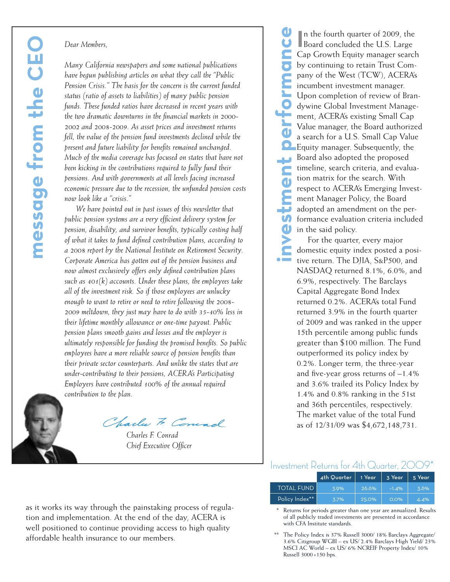*Many California newspapers and some national publications have begun publishing articles on what they call the "Public Pension Crisis." The basis for the concern is the current funded status (ratio of assets to liabilities) of many public pension funds. These funded ratios have decreased in recent years with the two dramatic downturns in the financial markets in 2000- 2002 and 2008-2009. As asset prices and investment returns fell, the value of the pension fund investments declined while the present and future liability for benefits remained unchanged. Much of the media coverage has focused on states that have not been kicking in the contributions required to fully fund their pensions. And with governments at all levels facing increased economic pressure due to the recession, the unfunded pension costs now look like a "crisis."*

Dear Members,<br>
Many California newspapers and some<br>
heave begun publishing articles on what<br>
Pension Crisis." The basis for the conces<br>
statutes (ratios of acests to that<br>
litter insural defines to the function of the two *We have pointed out in past issues of this newsletter that public pension systems are a very efficient delivery system for pension, disability, and survivor benefits, typically costing half of what it takes to fund defined contribution plans, according to a 2008 report by the National Institute on Retirement Security. Corporate America has gotten out of the pension business and now almost exclusively offers only defined contribution plans such as 401(k) accounts. Under these plans, the employees take all of the investment risk. So if those employees are unlucky enough to want to retire or need to retire following the 2008- 2009 meltdown, they just may have to do with 35-40% less in their lifetime monthly allowance or one-time payout. Public pension plans smooth gains and losses and the employer is ultimately responsible for funding the promised benefits. So public employees have a more reliable source of pension benefits than their private sector counterparts. And unlike the states that are under-contributing to their pensions, ACERA's Participating Employers have contributed 100% of the annual required contribution to the plan.* 

*Charles F. Conrad Chief Executive Officer*

**investment performance** In the fourth quarter of 2009, the<br>Board concluded the U.S. Large n the fourth quarter of 2009, the Cap Growth Equity manager search by continuing to retain Trust Company of the West (TCW), ACERA's incumbent investment manager.  $\mathbf{L}$ Upon completion of review of Brandywine Global Investment Management, ACERA's existing Small Cap Value manager, the Board authorized a search for a U.S. Small Cap Value Equity manager. Subsequently, the Board also adopted the proposed timeline, search criteria, and evalua-Ċ tion matrix for the search. With  $\overline{\mathbf{d}}$ respect to ACERA's Emerging Investment Manager Policy, the Board ₽ adopted an amendment on the per-**S** formance evaluation criteria included  $\mathbf 0$ in the said policy.

For the quarter, every major domestic equity index posted a positive return. The DJIA, S&P500, and NASDAQ returned 8.1%, 6.0%, and 6.9%, respectively. The Barclays Capital Aggregate Bond Index returned 0.2%. ACERA's total Fund returned 3.9% in the fourth quarter of 2009 and was ranked in the upper 15th percentile among public funds greater than \$100 million. The Fund outperformed its policy index by 0.2%. Longer term, the three-year and five-year gross returns of –1.4% and 3.6% trailed its Policy Index by 1.4% and 0.8% ranking in the 51st and 36th percentiles, respectively. The market value of the total Fund as of 12/31/09 was \$4,672,148,731.

### Investment Returns for 4th Quarter, 2009\*

|                   | 4th Quarter | 1 Year | 3 Year  | 5 Year |
|-------------------|-------------|--------|---------|--------|
| <b>TOTAL FUND</b> | 3.9%        | 26.6%  | $-1.4%$ | .3.6%  |
| Policy Index**    | 3.7%        | 25.0%  | $O.O\%$ | 4.4%   |

Returns for periods greater than one year are annualized. Results of all publicly traded investments are presented in accordance with CFA Institute standards.

The Policy Index is 37% Russell 3000/ 18% Barclays Aggregate/ 3.6% Citigroup WGBI – ex US/ 2.4% Barclays High Yield/ 23% MSCI AC World – ex US/ 6% NCREIF Property Index/ 10% Russell 3000+150 bps.

as it works its way through the painstaking process of regulation and implementation. At the end of the day, ACERA is well positioned to continue providing access to high quality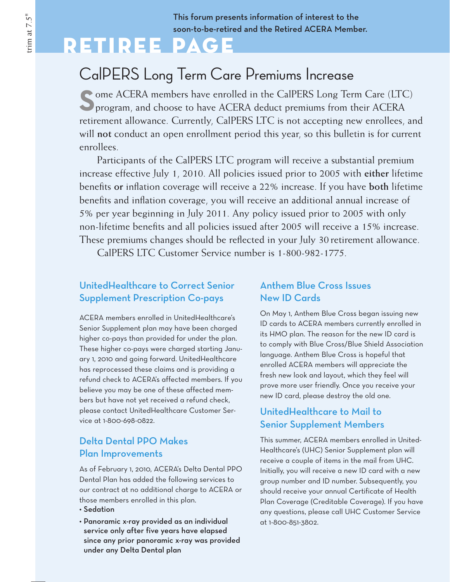This forum presents information of interest to the soon-to-be-retired and the Retired ACERA Member.

## Retiree Page

## CalPERS Long Term Care Premiums Increase

**S**ome ACERA members have enrolled in the CalPERS Long Term Care (LTC) **P** program, and choose to have ACERA deduct premiums from their ACERA retirement allowance. Currently, CalPERS LTC is not accepting new enrollees, and will **not** conduct an open enrollment period this year, so this bulletin is for current enrollees.

Participants of the CalPERS LTC program will receive a substantial premium increase effective July 1, 2010. All policies issued prior to 2005 with **either** lifetime benefits **or** inflation coverage will receive a 22% increase. If you have **both** lifetime benefits and inflation coverage, you will receive an additional annual increase of 5% per year beginning in July 2011. Any policy issued prior to 2005 with only non-lifetime benefits and all policies issued after 2005 will receive a 15% increase. These premiums changes should be reflected in your July 30 retirement allowance.

CalPERS LTC Customer Service number is 1-800-982-1775.

## UnitedHealthcare to Correct Senior Supplement Prescription Co-pays

ACERA members enrolled in UnitedHealthcare's Senior Supplement plan may have been charged higher co-pays than provided for under the plan. These higher co-pays were charged starting January 1, 2010 and going forward. UnitedHealthcare has reprocessed these claims and is providing a refund check to ACERA's affected members. If you believe you may be one of these affected members but have not yet received a refund check, please contact UnitedHealthcare Customer Service at 1-800-698-0822.

### Delta Dental PPO Makes Plan Improvements

As of February 1, 2010, ACERA's Delta Dental PPO Dental Plan has added the following services to our contract at no additional charge to ACERA or those members enrolled in this plan.

- • Sedation
- • Panoramic x-ray provided as an individual service only after five years have elapsed since any prior panoramic x-ray was provided under any Delta Dental plan

### Anthem Blue Cross Issues New ID Cards

On May 1, Anthem Blue Cross began issuing new ID cards to ACERA members currently enrolled in its HMO plan. The reason for the new ID card is to comply with Blue Cross/Blue Shield Association language. Anthem Blue Cross is hopeful that enrolled ACERA members will appreciate the fresh new look and layout, which they feel will prove more user friendly. Once you receive your new ID card, please destroy the old one.

### UnitedHealthcare to Mail to Senior Supplement Members

This summer, ACERA members enrolled in United-Healthcare's (UHC) Senior Supplement plan will receive a couple of items in the mail from UHC. Initially, you will receive a new ID card with a new group number and ID number. Subsequently, you should receive your annual Certificate of Health Plan Coverage (Creditable Coverage). If you have any questions, please call UHC Customer Service at 1-800-851-3802.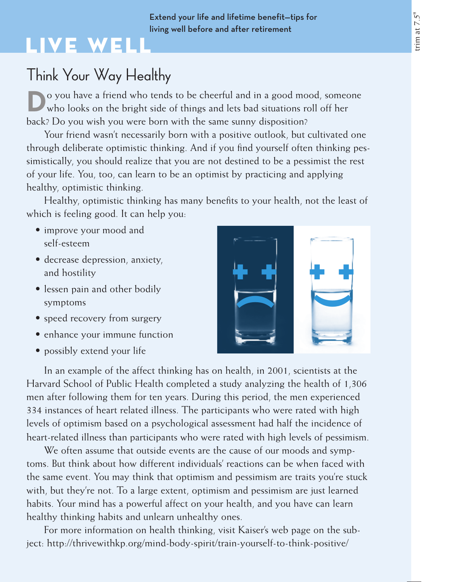### Extend your life and lifetime benefit—tips for living well before and after retirement

# Live Well

## Think Your Way Healthy

**D**o you have a friend who tends to be cheerful and in a good mood, someone who looks on the bright side of things and lets bad situations roll off her back? Do you wish you were born with the same sunny disposition?

Your friend wasn't necessarily born with a positive outlook, but cultivated one through deliberate optimistic thinking. And if you find yourself often thinking pessimistically, you should realize that you are not destined to be a pessimist the rest of your life. You, too, can learn to be an optimist by practicing and applying healthy, optimistic thinking.

Healthy, optimistic thinking has many benefits to your health, not the least of which is feeling good. It can help you:

- improve your mood and self-esteem
- • decrease depression, anxiety, and hostility
- lessen pain and other bodily symptoms
- speed recovery from surgery
- enhance your immune function
- possibly extend your life



In an example of the affect thinking has on health, in 2001, scientists at the Harvard School of Public Health completed a study analyzing the health of 1,306 men after following them for ten years. During this period, the men experienced 334 instances of heart related illness. The participants who were rated with high levels of optimism based on a psychological assessment had half the incidence of heart-related illness than participants who were rated with high levels of pessimism.

We often assume that outside events are the cause of our moods and symptoms. But think about how different individuals' reactions can be when faced with the same event. You may think that optimism and pessimism are traits you're stuck with, but they're not. To a large extent, optimism and pessimism are just learned habits. Your mind has a powerful affect on your health, and you have can learn healthy thinking habits and unlearn unhealthy ones.

For more information on health thinking, visit Kaiser's web page on the subject: http://thrivewithkp.org/mind-body-spirit/train-yourself-to-think-positive/